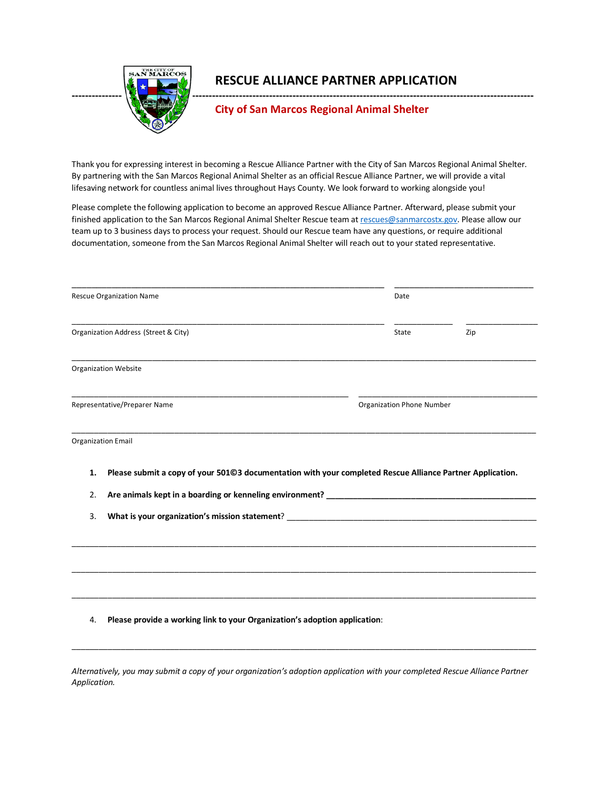

## **RESCUE ALLIANCE PARTNER APPLICATION**

## **City of San Marcos Regional Animal Shelter**

Thank you for expressing interest in becoming a Rescue Alliance Partner with the City of San Marcos Regional Animal Shelter. By partnering with the San Marcos Regional Animal Shelter as an official Rescue Alliance Partner, we will provide a vital lifesaving network for countless animal lives throughout Hays County. We look forward to working alongside you!

Please complete the following application to become an approved Rescue Alliance Partner. Afterward, please submit your finished application to the San Marcos Regional Animal Shelter Rescue team at [rescues@sanmarcostx.gov.](mailto:rescues@sanmarcostx.gov) Please allow our team up to 3 business days to process your request. Should our Rescue team have any questions, or require additional documentation, someone from the San Marcos Regional Animal Shelter will reach out to your stated representative.

|                              | <b>Rescue Organization Name</b>                                                                           | Date                             |     |  |
|------------------------------|-----------------------------------------------------------------------------------------------------------|----------------------------------|-----|--|
|                              | Organization Address (Street & City)                                                                      | State                            | Zip |  |
|                              | Organization Website                                                                                      |                                  |     |  |
| Representative/Preparer Name |                                                                                                           | <b>Organization Phone Number</b> |     |  |
|                              | <b>Organization Email</b>                                                                                 |                                  |     |  |
| 1.                           | Please submit a copy of your 501@3 documentation with your completed Rescue Alliance Partner Application. |                                  |     |  |
| 2.                           |                                                                                                           |                                  |     |  |
| 3.                           |                                                                                                           |                                  |     |  |
|                              |                                                                                                           |                                  |     |  |
| 4.                           | Please provide a working link to your Organization's adoption application:                                |                                  |     |  |
|                              |                                                                                                           |                                  |     |  |

*Alternatively, you may submit a copy of your organization's adoption application with your completed Rescue Alliance Partner Application.*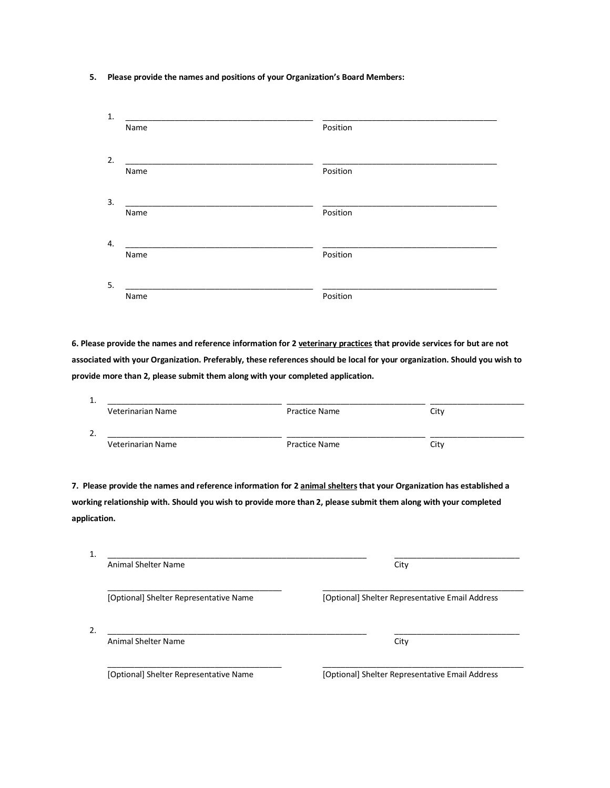## **5. Please provide the names and positions of your Organization's Board Members:**

| 1. |      |          |
|----|------|----------|
|    | Name | Position |
|    |      |          |
| 2. | Name | Position |
| 3. |      |          |
|    | Name | Position |
| 4. |      |          |
|    | Name | Position |
| 5. |      |          |
|    | Name | Position |

**6. Please provide the names and reference information for 2 veterinary practices that provide services for but are not associated with your Organization. Preferably, these references should be local for your organization. Should you wish to provide more than 2, please submit them along with your completed application.** 

| Veterinarian Name                                                                              | <b>Practice Name</b>                                                                                                 | City                                            |
|------------------------------------------------------------------------------------------------|----------------------------------------------------------------------------------------------------------------------|-------------------------------------------------|
|                                                                                                |                                                                                                                      |                                                 |
| 2.<br><u> 1980 - John Stone, Amerikaansk politiker (</u>                                       |                                                                                                                      |                                                 |
| Veterinarian Name                                                                              | <b>Practice Name</b>                                                                                                 | City                                            |
|                                                                                                |                                                                                                                      |                                                 |
|                                                                                                | 7. Please provide the names and reference information for 2 animal shelters that your Organization has established a |                                                 |
|                                                                                                | working relationship with. Should you wish to provide more than 2, please submit them along with your completed      |                                                 |
|                                                                                                |                                                                                                                      |                                                 |
| application.                                                                                   |                                                                                                                      |                                                 |
|                                                                                                |                                                                                                                      |                                                 |
|                                                                                                |                                                                                                                      |                                                 |
|                                                                                                |                                                                                                                      |                                                 |
| <u> 1980 - Jan James James Barnett, fransk politik (d. 1980)</u><br><b>Animal Shelter Name</b> |                                                                                                                      | City                                            |
|                                                                                                |                                                                                                                      |                                                 |
|                                                                                                |                                                                                                                      |                                                 |
| [Optional] Shelter Representative Name                                                         |                                                                                                                      | [Optional] Shelter Representative Email Address |
|                                                                                                |                                                                                                                      |                                                 |
| $\mathbf{1}$<br>$\mathfrak{D}$ .                                                               |                                                                                                                      |                                                 |
| <b>Animal Shelter Name</b>                                                                     |                                                                                                                      | City                                            |
| [Optional] Shelter Representative Name                                                         |                                                                                                                      | [Optional] Shelter Representative Email Address |